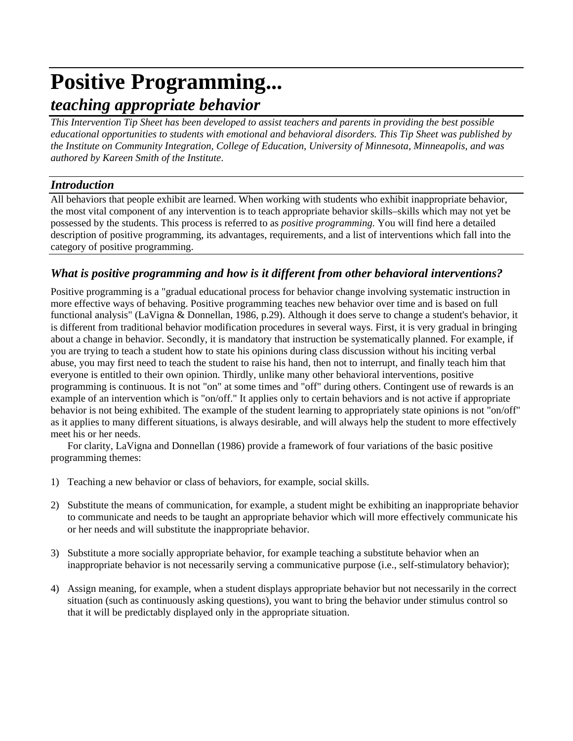# **Positive Programming...** *teaching appropriate behavior*

*This Intervention Tip Sheet has been developed to assist teachers and parents in providing the best possible educational opportunities to students with emotional and behavioral disorders. This Tip Sheet was published by the Institute on Community Integration, College of Education, University of Minnesota, Minneapolis, and was authored by Kareen Smith of the Institute*.

## *Introduction*

All behaviors that people exhibit are learned. When working with students who exhibit inappropriate behavior, the most vital component of any intervention is to teach appropriate behavior skills–skills which may not yet be possessed by the students. This process is referred to as *positive programming.* You will find here a detailed description of positive programming, its advantages, requirements, and a list of interventions which fall into the category of positive programming.

# *What is positive programming and how is it different from other behavioral interventions?*

Positive programming is a "gradual educational process for behavior change involving systematic instruction in more effective ways of behaving. Positive programming teaches new behavior over time and is based on full functional analysis" (LaVigna & Donnellan, 1986, p.29). Although it does serve to change a student's behavior, it is different from traditional behavior modification procedures in several ways. First, it is very gradual in bringing about a change in behavior. Secondly, it is mandatory that instruction be systematically planned. For example, if you are trying to teach a student how to state his opinions during class discussion without his inciting verbal abuse, you may first need to teach the student to raise his hand, then not to interrupt, and finally teach him that everyone is entitled to their own opinion. Thirdly, unlike many other behavioral interventions, positive programming is continuous. It is not "on" at some times and "off" during others. Contingent use of rewards is an example of an intervention which is "on/off." It applies only to certain behaviors and is not active if appropriate behavior is not being exhibited. The example of the student learning to appropriately state opinions is not "on/off" as it applies to many different situations, is always desirable, and will always help the student to more effectively meet his or her needs.

For clarity, LaVigna and Donnellan (1986) provide a framework of four variations of the basic positive programming themes:

- 1) Teaching a new behavior or class of behaviors, for example, social skills.
- 2) Substitute the means of communication, for example, a student might be exhibiting an inappropriate behavior to communicate and needs to be taught an appropriate behavior which will more effectively communicate his or her needs and will substitute the inappropriate behavior.
- 3) Substitute a more socially appropriate behavior, for example teaching a substitute behavior when an inappropriate behavior is not necessarily serving a communicative purpose (i.e., self-stimulatory behavior);
- 4) Assign meaning, for example, when a student displays appropriate behavior but not necessarily in the correct situation (such as continuously asking questions), you want to bring the behavior under stimulus control so that it will be predictably displayed only in the appropriate situation.